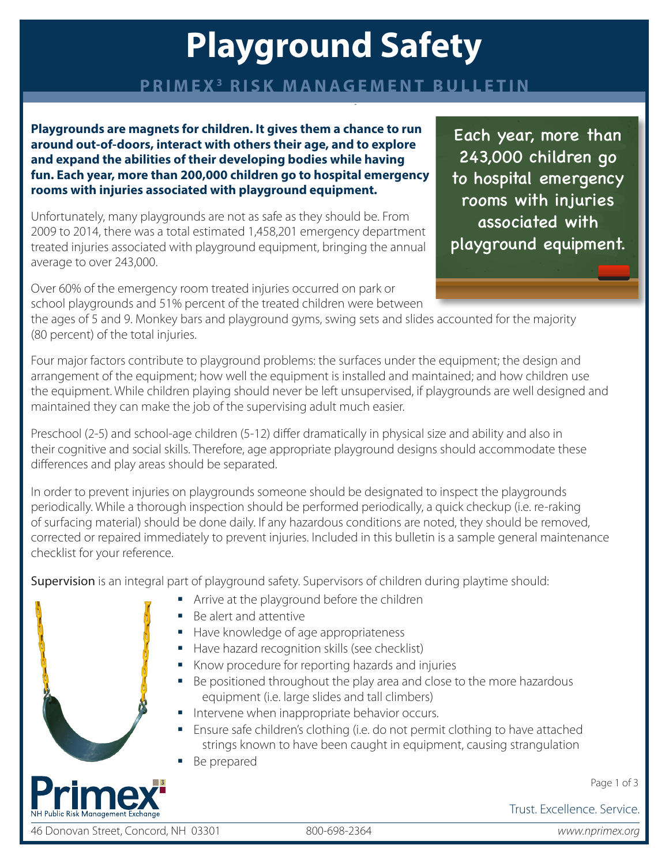# **Playground Safety**

### **PRIMEX3 RISK MANAGEMENT BULLETIN**

**Playgrounds are magnets for children. It gives them a chance to run around out-of-doors, interact with others their age, and to explore and expand the abilities of their developing bodies while having fun. Each year, more than 200,000 children go to hospital emergency rooms with injuries associated with playground equipment.**

Unfortunately, many playgrounds are not as safe as they should be. From 2009 to 2014, there was a total estimated 1,458,201 emergency department treated injuries associated with playground equipment, bringing the annual average to over 243,000.

Over 60% of the emergency room treated injuries occurred on park or school playgrounds and 51% percent of the treated children were between

the ages of 5 and 9. Monkey bars and playground gyms, swing sets and slides accounted for the majority (80 percent) of the total injuries.

Four major factors contribute to playground problems: the surfaces under the equipment; the design and arrangement of the equipment; how well the equipment is installed and maintained; and how children use the equipment. While children playing should never be left unsupervised, if playgrounds are well designed and maintained they can make the job of the supervising adult much easier.

Preschool (2-5) and school-age children (5-12) differ dramatically in physical size and ability and also in their cognitive and social skills. Therefore, age appropriate playground designs should accommodate these differences and play areas should be separated.

In order to prevent injuries on playgrounds someone should be designated to inspect the playgrounds periodically. While a thorough inspection should be performed periodically, a quick checkup (i.e. re-raking of surfacing material) should be done daily. If any hazardous conditions are noted, they should be removed, corrected or repaired immediately to prevent injuries. Included in this bulletin is a sample general maintenance checklist for your reference.

Supervision is an integral part of playground safety. Supervisors of children during playtime should:

- Arrive at the playground before the children
- Be alert and attentive
- Have knowledge of age appropriateness
- Have hazard recognition skills (see checklist)
- Know procedure for reporting hazards and injuries
- Be positioned throughout the play area and close to the more hazardous equipment (i.e. large slides and tall climbers)
- **Intervene when inappropriate behavior occurs.**
- Ensure safe children's clothing (i.e. do not permit clothing to have attached strings known to have been caught in equipment, causing strangulation
- **Be prepared**

Trust. Excellence. Service.

46 Donovan Street, Concord, NH 03301 800-698-2364 *www.nprimex.org*

Page 1 of 3

Each year, more than 243,000 children go to hospital emergency rooms with injuries associated with playground equipment.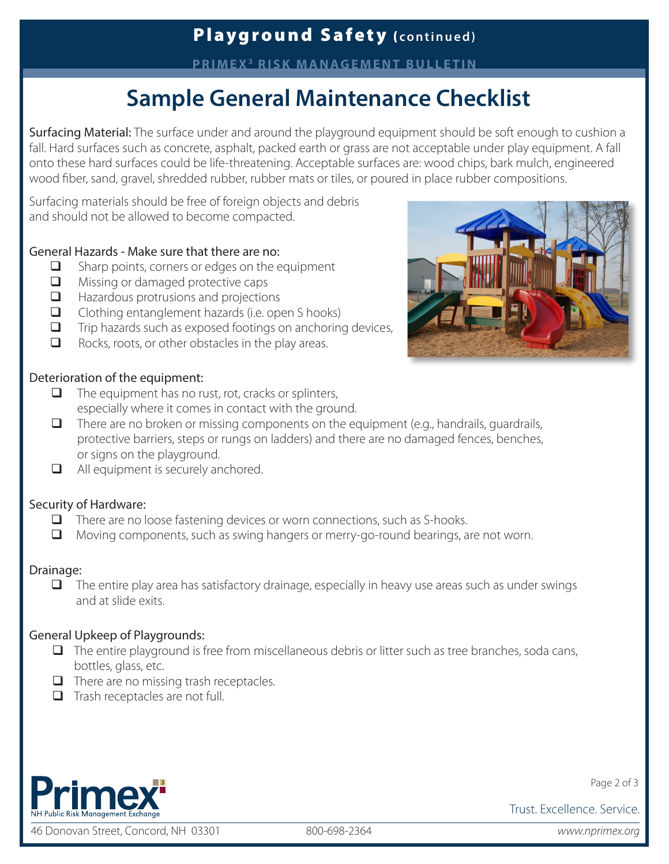**PRIMEX3 RISK MANAGEMENT BULLETIN**

# **Sample General Maintenance Checklist**

Surfacing Material: The surface under and around the playground equipment should be soft enough to cushion a fall. Hard surfaces such as concrete, asphalt, packed earth or grass are not acceptable under play equipment. A fall onto these hard surfaces could be life-threatening. Acceptable surfaces are: wood chips, bark mulch, engineered wood fiber, sand, gravel, shredded rubber, rubber mats or tiles, or poured in place rubber compositions.

Surfacing materials should be free of foreign objects and debris and should not be allowed to become compacted.

#### General Hazards - Make sure that there are no:

- $\Box$  Sharp points, corners or edges on the equipment
- Missing or damaged protective caps
- $\Box$  Hazardous protrusions and projections
- $\Box$  Clothing entanglement hazards (i.e. open S hooks)
- $\Box$  Trip hazards such as exposed footings on anchoring devices,
- $\Box$  Rocks, roots, or other obstacles in the play areas.



#### Deterioration of the equipment:

- $\Box$  The equipment has no rust, rot, cracks or splinters, especially where it comes in contact with the ground.
- $\Box$  There are no broken or missing components on the equipment (e.g., handrails, quardrails, protective barriers, steps or rungs on ladders) and there are no damaged fences, benches, or signs on the playground.
- $\Box$  All equipment is securely anchored.

#### Security of Hardware:

- There are no loose fastening devices or worn connections, such as S-hooks.
- Moving components, such as swing hangers or merry-go-round bearings, are not worn.

#### Drainage:

 $\Box$  The entire play area has satisfactory drainage, especially in heavy use areas such as under swings and at slide exits.

#### General Upkeep of Playgrounds:

- $\Box$  The entire playground is free from miscellaneous debris or litter such as tree branches, soda cans, bottles, glass, etc.
- $\Box$  There are no missing trash receptacles.
- $\Box$  Trash receptacles are not full.



46 Donovan Street, Concord, NH 03301 800-698-2364 *www.nprimex.org*

Page 2 of 3

Trust. Excellence. Service.